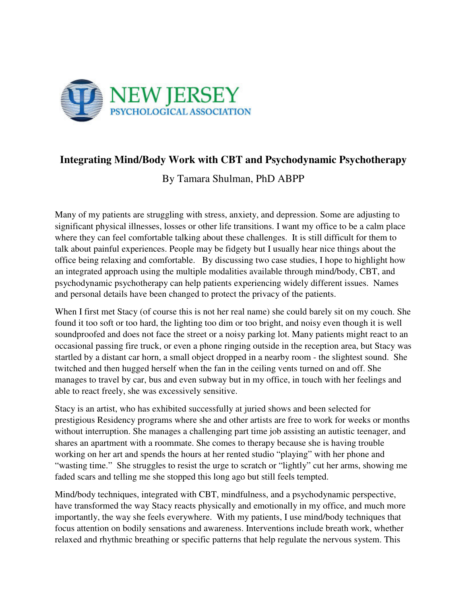

## **Integrating Mind/Body Work with CBT and Psychodynamic Psychotherapy**

By Tamara Shulman, PhD ABPP

Many of my patients are struggling with stress, anxiety, and depression. Some are adjusting to significant physical illnesses, losses or other life transitions. I want my office to be a calm place where they can feel comfortable talking about these challenges. It is still difficult for them to talk about painful experiences. People may be fidgety but I usually hear nice things about the office being relaxing and comfortable. By discussing two case studies, I hope to highlight how an integrated approach using the multiple modalities available through mind/body, CBT, and psychodynamic psychotherapy can help patients experiencing widely different issues. Names and personal details have been changed to protect the privacy of the patients.

When I first met Stacy (of course this is not her real name) she could barely sit on my couch. She found it too soft or too hard, the lighting too dim or too bright, and noisy even though it is well soundproofed and does not face the street or a noisy parking lot. Many patients might react to an occasional passing fire truck, or even a phone ringing outside in the reception area, but Stacy was startled by a distant car horn, a small object dropped in a nearby room - the slightest sound. She twitched and then hugged herself when the fan in the ceiling vents turned on and off. She manages to travel by car, bus and even subway but in my office, in touch with her feelings and able to react freely, she was excessively sensitive.

Stacy is an artist, who has exhibited successfully at juried shows and been selected for prestigious Residency programs where she and other artists are free to work for weeks or months without interruption. She manages a challenging part time job assisting an autistic teenager, and shares an apartment with a roommate. She comes to therapy because she is having trouble working on her art and spends the hours at her rented studio "playing" with her phone and "wasting time." She struggles to resist the urge to scratch or "lightly" cut her arms, showing me faded scars and telling me she stopped this long ago but still feels tempted.

Mind/body techniques, integrated with CBT, mindfulness, and a psychodynamic perspective, have transformed the way Stacy reacts physically and emotionally in my office, and much more importantly, the way she feels everywhere. With my patients, I use mind/body techniques that focus attention on bodily sensations and awareness. Interventions include breath work, whether relaxed and rhythmic breathing or specific patterns that help regulate the nervous system. This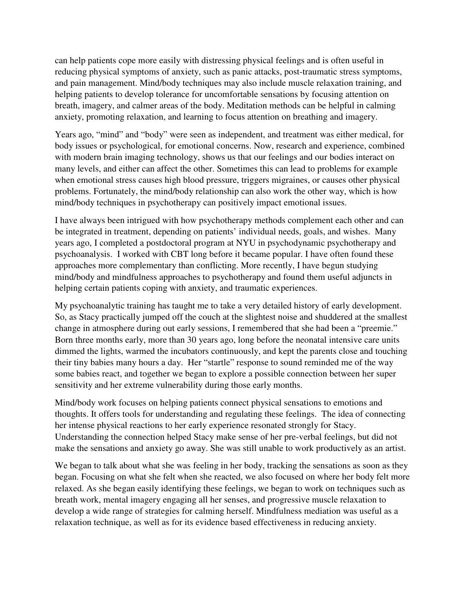can help patients cope more easily with distressing physical feelings and is often useful in reducing physical symptoms of anxiety, such as panic attacks, post-traumatic stress symptoms, and pain management. Mind/body techniques may also include muscle relaxation training, and helping patients to develop tolerance for uncomfortable sensations by focusing attention on breath, imagery, and calmer areas of the body. Meditation methods can be helpful in calming anxiety, promoting relaxation, and learning to focus attention on breathing and imagery.

Years ago, "mind" and "body" were seen as independent, and treatment was either medical, for body issues or psychological, for emotional concerns. Now, research and experience, combined with modern brain imaging technology, shows us that our feelings and our bodies interact on many levels, and either can affect the other. Sometimes this can lead to problems for example when emotional stress causes high blood pressure, triggers migraines, or causes other physical problems. Fortunately, the mind/body relationship can also work the other way, which is how mind/body techniques in psychotherapy can positively impact emotional issues.

I have always been intrigued with how psychotherapy methods complement each other and can be integrated in treatment, depending on patients' individual needs, goals, and wishes. Many years ago, I completed a postdoctoral program at NYU in psychodynamic psychotherapy and psychoanalysis. I worked with CBT long before it became popular. I have often found these approaches more complementary than conflicting. More recently, I have begun studying mind/body and mindfulness approaches to psychotherapy and found them useful adjuncts in helping certain patients coping with anxiety, and traumatic experiences.

My psychoanalytic training has taught me to take a very detailed history of early development. So, as Stacy practically jumped off the couch at the slightest noise and shuddered at the smallest change in atmosphere during out early sessions, I remembered that she had been a "preemie." Born three months early, more than 30 years ago, long before the neonatal intensive care units dimmed the lights, warmed the incubators continuously, and kept the parents close and touching their tiny babies many hours a day. Her "startle" response to sound reminded me of the way some babies react, and together we began to explore a possible connection between her super sensitivity and her extreme vulnerability during those early months.

Mind/body work focuses on helping patients connect physical sensations to emotions and thoughts. It offers tools for understanding and regulating these feelings. The idea of connecting her intense physical reactions to her early experience resonated strongly for Stacy. Understanding the connection helped Stacy make sense of her pre-verbal feelings, but did not make the sensations and anxiety go away. She was still unable to work productively as an artist.

We began to talk about what she was feeling in her body, tracking the sensations as soon as they began. Focusing on what she felt when she reacted, we also focused on where her body felt more relaxed. As she began easily identifying these feelings, we began to work on techniques such as breath work, mental imagery engaging all her senses, and progressive muscle relaxation to develop a wide range of strategies for calming herself. Mindfulness mediation was useful as a relaxation technique, as well as for its evidence based effectiveness in reducing anxiety.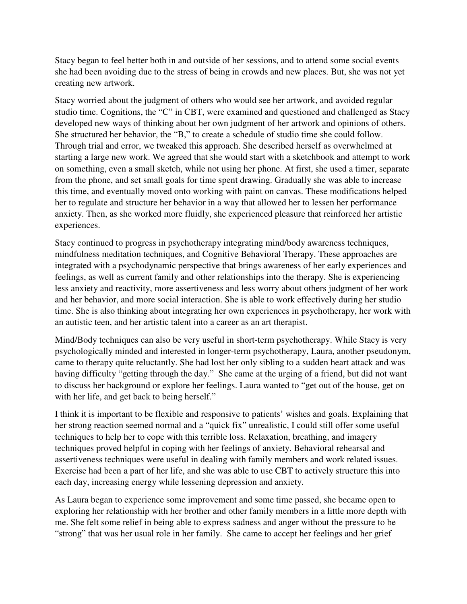Stacy began to feel better both in and outside of her sessions, and to attend some social events she had been avoiding due to the stress of being in crowds and new places. But, she was not yet creating new artwork.

Stacy worried about the judgment of others who would see her artwork, and avoided regular studio time. Cognitions, the "C" in CBT, were examined and questioned and challenged as Stacy developed new ways of thinking about her own judgment of her artwork and opinions of others. She structured her behavior, the "B," to create a schedule of studio time she could follow. Through trial and error, we tweaked this approach. She described herself as overwhelmed at starting a large new work. We agreed that she would start with a sketchbook and attempt to work on something, even a small sketch, while not using her phone. At first, she used a timer, separate from the phone, and set small goals for time spent drawing. Gradually she was able to increase this time, and eventually moved onto working with paint on canvas. These modifications helped her to regulate and structure her behavior in a way that allowed her to lessen her performance anxiety. Then, as she worked more fluidly, she experienced pleasure that reinforced her artistic experiences.

Stacy continued to progress in psychotherapy integrating mind/body awareness techniques, mindfulness meditation techniques, and Cognitive Behavioral Therapy. These approaches are integrated with a psychodynamic perspective that brings awareness of her early experiences and feelings, as well as current family and other relationships into the therapy. She is experiencing less anxiety and reactivity, more assertiveness and less worry about others judgment of her work and her behavior, and more social interaction. She is able to work effectively during her studio time. She is also thinking about integrating her own experiences in psychotherapy, her work with an autistic teen, and her artistic talent into a career as an art therapist.

Mind/Body techniques can also be very useful in short-term psychotherapy. While Stacy is very psychologically minded and interested in longer-term psychotherapy, Laura, another pseudonym, came to therapy quite reluctantly. She had lost her only sibling to a sudden heart attack and was having difficulty "getting through the day." She came at the urging of a friend, but did not want to discuss her background or explore her feelings. Laura wanted to "get out of the house, get on with her life, and get back to being herself."

I think it is important to be flexible and responsive to patients' wishes and goals. Explaining that her strong reaction seemed normal and a "quick fix" unrealistic, I could still offer some useful techniques to help her to cope with this terrible loss. Relaxation, breathing, and imagery techniques proved helpful in coping with her feelings of anxiety. Behavioral rehearsal and assertiveness techniques were useful in dealing with family members and work related issues. Exercise had been a part of her life, and she was able to use CBT to actively structure this into each day, increasing energy while lessening depression and anxiety.

As Laura began to experience some improvement and some time passed, she became open to exploring her relationship with her brother and other family members in a little more depth with me. She felt some relief in being able to express sadness and anger without the pressure to be "strong" that was her usual role in her family. She came to accept her feelings and her grief